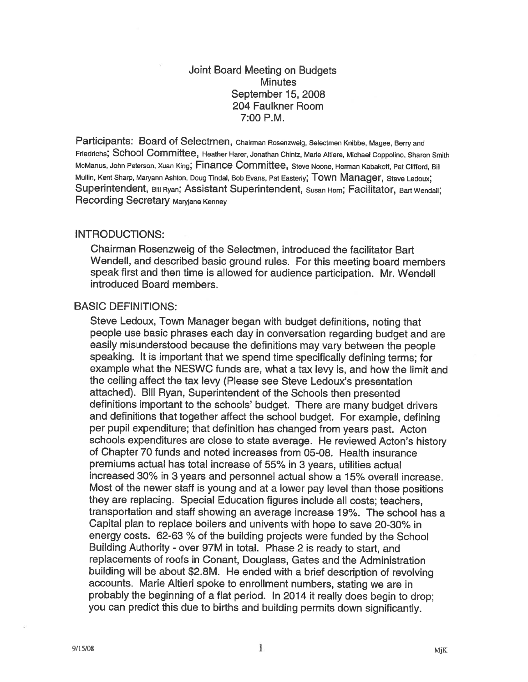# Joint Board Meeting on Budgets **Minutes** September 15, 2008 204 Faulkner Room 7:00 P.M.

Participants: Board of Selectmen, Chairman Rosenzweig, Selectmen Knibbe, Magee, Berry and Friedrichs; School Committee, Heather Harer, Jonathan Chintz, Marie Altiere, Michael Coppolino, Sharon Smith McManus, John Peterson, Xuan King; Finance Committee, Steve Noone, Herman Kabakoff, Pat Clifford, Bill Mullin, Kent Sharp, Maryann Ashton, Doug Tindal, Bob Evans, Pat Easterly; TOWN Manager, Steve Ledoux; Superintendent, Bill Ryan; Assistant Superintendent, Susan Horn; Facilitator, Bart Wendall; Recording Secretary Maryjane Kenney

## INTRODUCTIONS:

Chairman Rosenzweig of the Selectmen, introduced the facilitator Bart Wendell, and described basic groun<sup>d</sup> rules. For this meeting board members spea<sup>k</sup> first and then time is allowed for audience participation. Mr. Wendell introduced Board members.

## BASIC DEFINITIONS:

Steve Ledoux, Town Manager began with budget definitions, noting that people use basic <sup>p</sup>hrases each day in conversation regarding budget and are easily misunderstood because the definitions may vary between the people speaking. It is important that we spen<sup>d</sup> time specifically defining terms; for example what the NESWC funds are, what <sup>a</sup> tax levy is, and how the limit and the ceiling affect the tax levy (Please see Steve Ledoux's presentation attached). Bill Ryan, Superintendent of the Schools then presented definitions important to the schools' budget. There are many budget drivers and definitions that together affect the school budget. For example, defining per pupil expenditure; that definition has changed from years past. Acton schools expenditures are close to state average. He reviewed Acton's history of Chapter 70 funds and noted increases from 05-08. Health insurance premiums actual has total increase of 55% in <sup>3</sup> years, utilities actual increased 30% in 3 years and personnel actual show <sup>a</sup> 15% overall increase. Most of the newer staff is young and at <sup>a</sup> lower pay level than those positions they are replacing. Special Education figures include all costs; teachers, transportation and staff showing an average increase 19%. The school has <sup>a</sup> Capital <sup>p</sup>lan to replace boilers and univents with hope to save 20-30% in energy costs. 62-63 % of the building projects were funded by the School Building Authority - over 97M in total. Phase <sup>2</sup> is ready to start, and replacements of roofs in Conant, Douglass, Gates and the Administration building will be about \$2.8M. He ended with <sup>a</sup> brief description of revolving accounts. Marie Altieri spoke to enrollment numbers, stating we are in probably the beginning of <sup>a</sup> flat period. In <sup>2014</sup> it really does begin to drop; you can predict this due to births and building permits down significantly.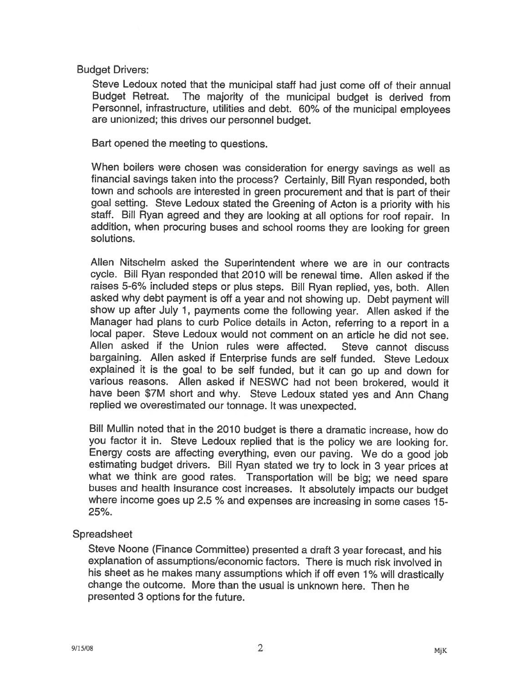Budget Drivers:

Steve Ledoux noted that the municipal staff had just come off of their annual Budget Retreat. The majority of the municipal budget is derived from Personnel, infrastructure, utilities and debt. 60% of the municipal employees are unionized; this drives our personnel budget.

Bart opened the meeting to questions.

When boilers were chosen was consideration for energy savings as well as financial savings taken into the process? Certainly, Bill Ryan responded, both town and schools are interested in green procurement and that is part of their goa<sup>l</sup> setting. Steve Ledoux stated the Greening of Acton is <sup>a</sup> priority with his staff. Bill Ryan agreed and they are looking at all options for roof repair. In addition, when procuring buses and school rooms they are looking for green solutions.

Allen Nitschelm asked the Superintendent where we are in our contracts cycle. Bill Ryan responded that 2010 will be renewal time. Allen asked if the raises 5-6% included steps or <sup>p</sup>lus steps. Bill Ryan replied, yes, both. Allen asked why debt payment is off <sup>a</sup> year and not showing up. Debt payment will show up after July 1, payments come the following year. Allen asked if the Manager had <sup>p</sup>lans to curb Police details in Acton, referring to <sup>a</sup> report in <sup>a</sup> local paper. Steve Ledoux would not comment on an article he did not see. Allen asked if the Union rules were affected. Steve cannot discuss bargaining. Allen asked if Enterprise funds are self funded. Steve Ledoux explained it is the goa<sup>l</sup> to be self funded, but it can go up and down for various reasons. Allen asked if NESWC had not been brokered, would it have been \$7M short and why. Steve Ledoux stated yes and Ann Chang replied we overestimated our tonnage. It was unexpected.

Bill Mullin noted that in the 2010 budget is there <sup>a</sup> dramatic increase, how do you factor it in. Steve Ledoux replied that is the policy we are looking for. Energy costs are affecting everything, even our paving. We do <sup>a</sup> good job estimating budget drivers. Bill Ryan stated we try to lock in <sup>3</sup> year prices at what we think are good rates. Transportation will be big; we need spare buses and health insurance cost increases. It absolutely impacts our budget where income goes up 2.5 % and expenses are increasing in some cases 15- 25%.

# Spreadsheet

Steve Noone (Finance Committee) presented <sup>a</sup> draft <sup>3</sup> year forecast, and his explanation of assumptions/economic factors. There is much risk involved in his sheet as he makes many assumptions which if off even 1% will drastically change the outcome. More than the usual is unknown here. Then he presented 3 options for the future.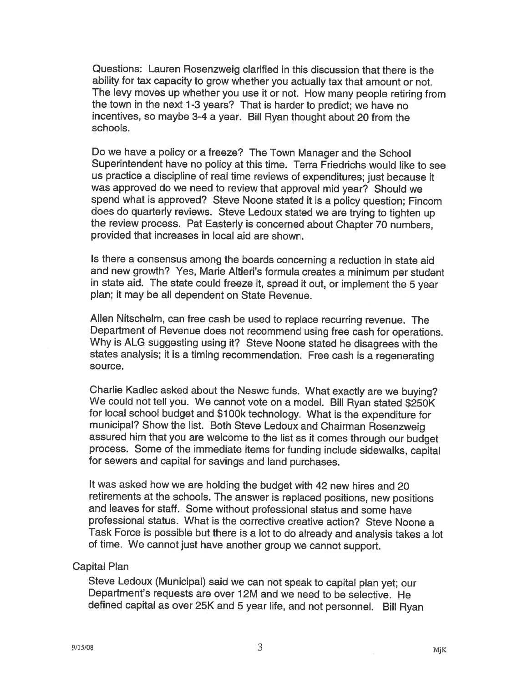Questions: Lauren Rosenzweig clarified in this discussion that there is the ability for tax capacity to grow whether you actually tax that amount or not. The levy moves up whether you use it or not. How many people retiring from the town in the next 1-3 years? That is harder to predict; we have no incentives, so maybe 3-4 <sup>a</sup> year. Bill Ryan thought about <sup>20</sup> from the schools.

Do we have <sup>a</sup> policy or <sup>a</sup> freeze? The Town Manager and the School Superintendent have no policy at this time. Terra Friedrichs would like to see us practice <sup>a</sup> discipline of real time reviews of expenditures; just because it was approved do we need to review that approval mid year? Should we spend what is approved? Steve Noone stated it is <sup>a</sup> policy question; Fincom does do quarterly reviews. Steve Ledoux stated we are trying to tighten up the review process. Pat Easterly is concerned about Chapter <sup>70</sup> numbers, provided that increases in local aid are shown.

Is there <sup>a</sup> consensus among the boards concerning <sup>a</sup> reduction in state aid and new growth? Yes, Marie Altieri's formula creates <sup>a</sup> minimum per student in state aid. The state could freeze it, spread it out, or implement the <sup>5</sup> year plan; it may be all dependent on State Revenue.

Allen Nitschelm, can free cash be used to replace recurring revenue. The Department of Revenue does not recommend using free cash for operations. Why is ALG suggesting using it? Steve Noone stated he disagrees with the states analysis; it is <sup>a</sup> timing recommendation. Free cash is <sup>a</sup> regenerating source.

Charlie Kadlec asked about the Neswc funds. What exactly are we buying? We could not tell you. We cannot vote on <sup>a</sup> model. Bill Ryan stated \$250K for local school budget and \$100k technology. What is the expenditure for municipal? Show the list. Both Steve Ledoux and Chairman Rosenzweig assured him that you are welcome to the list as it comes through our budget process. Some of the immediate items for funding include sidewalks, capital for sewers and capital for savings and land purchases.

It was asked how we are holding the budget with <sup>42</sup> new hires and 20 retirements at the schools. The answer is replaced positions, new positions and leaves for staff. Some without professional status and some have professional status. What is the corrective creative action? Steve Noone <sup>a</sup> Task Force is possible but there is <sup>a</sup> lot to do already and analysis takes <sup>a</sup> lot of time. We cannot just have another group we cannot support.

#### Capital Plan

Steve Ledoux (Municipal) said we can not speak to capital <sup>p</sup>lan yet; our Department's requests are over 12M and we need to be selective. He defined capital as over 25K and <sup>5</sup> year life, and not personnel. Bill Ryan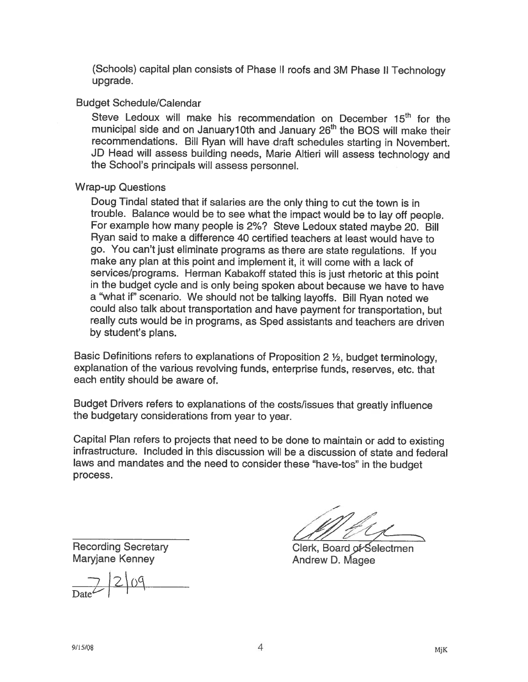(Schools) capital <sup>p</sup>lan consists of Phase II roofs and 3M Phase II Technology upgrade.

## Budget Schedule/Calendar

Steve Ledoux will make his recommendation on December 15<sup>th</sup> for the municipal side and on January10th and January 26<sup>th</sup> the BOS will make their recommendations. Bill Ryan will have draft schedules starting in Novembert. JD Head will assess building needs, Marie Altieri will assess technology and the School's principals will assess personnel.

## Wrap-up Questions

Doug Tindal stated that if salaries are the only thing to cut the town is in trouble. Balance would be to see what the impact would be to lay off people. For example how many people is 2%? Steve Ledoux stated maybe 20. Bill Ryan said to make <sup>a</sup> difference 40 certified teachers at least would have to go. You can't just eliminate programs as there are state regulations. It you make any plan at this point and implement it, it will come with <sup>a</sup> lack of services/programs. Herman Kabakoff stated this is just rhetoric at this point in the budget cycle and is only being spoken about because we have to have a "what if" scenario. We should not be talking layoffs. Bill Ryan noted we could also talk about transportation and have payment for transportation, but really cuts would be in programs, as Sped assistants and teachers are driven by student's plans.

Basic Definitions refers to explanations of Proposition <sup>2</sup> ½, budget terminology, explanation of the various revolving funds, enterprise funds, reserves, etc. that each entity should be aware of.

Budget Drivers refers to explanations of the costs/issues that greatly influence the budgetary considerations from year to year.

Capital Plan refers to projects that need to be done to maintain or add to existing infrastructure. Included in this discussion will be <sup>a</sup> discussion of state and federal laws and mandates and the need to consider these "have-tos" in the budget process.

Maryjane Kenney **Andrew D. Magee** 

 $D_{\text{ate}}$  |2|09

Recording Secretary Clerk, Board of Selectmen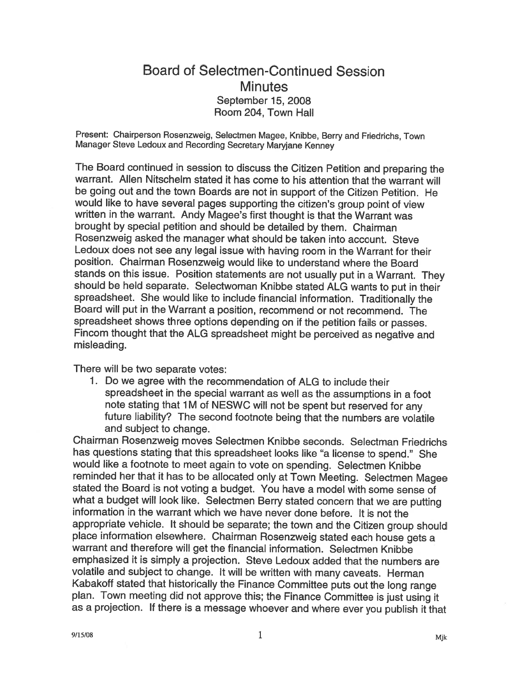# Board of Selectmen-Continued Session **Minutes** September 15, 2008 Room 204, Town Hall

Present: Chairperson Rosenzweig, Selectmen Magee, Knibbe, Berry and Friedrichs, Town Manager Steve Ledoux and Recording Secretary Maryjane Kenney

The Board continued in session to discuss the Citizen Petition and preparing the warrant. Allen Nitschelm stated it has come to his attention that the warrant will be going out and the town Boards are not in support of the Citizen Petition. He would like to have several pages supporting the citizen's group point of view written in the warrant. Andy Magee's first thought is that the Warrant was brought by special petition and should be detailed by them. Chairman Rosenzweig asked the manager what should be taken into account. Steve Ledoux does not see any legal issue with having room in the Warrant for their position. Chairman Rosenzweig would like to understand where the Board stands on this issue. Position statements are not usually put in <sup>a</sup> Warrant. They should be held separate. Selectwoman Knibbe stated ALG wants to put in their spreadsheet. She would like to include financial information. Traditionally the Board will put in the Warrant <sup>a</sup> position, recommend or not recommend. The spreadsheet shows three options depending on if the petition fails or passes. Fincom thought that the ALG spreadsheet might be perceived as negative and misleading.

There will be two separate votes:

1. Do we agree with the recommendation of ALG to include their spreadsheet in the special warrant as well as the assumptions in <sup>a</sup> foot note stating that 1M of NESWC will not be spent but reserved for any future liability? The second footnote being that the numbers are volatile and subject to change.

Chairman Rosenzweig moves Selectmen Knibbe seconds. Selectman Friedrichs has questions stating that this spreadsheet looks like "a license to spend." She would like <sup>a</sup> footnote to meet again to vote on spending. Selectmen Knibbe reminded her that it has to be allocated only at Town Meeting. Selectmen Magee stated the Board is not voting <sup>a</sup> budget. You have <sup>a</sup> model with some sense of what <sup>a</sup> budget will look like. Selectmen Berry stated concern that we are putting information in the warrant which we have never done before. It is not the appropriate vehicle. It should be separate; the town and the Citizen group should <sup>p</sup>lace information elsewhere. Chairman Rosenzweig stated each house gets a warrant and therefore will get the financial information. Selectmen Knibbe emphasized it is simply <sup>a</sup> projection. Steve Ledoux added that the numbers are volatile and subject to change. It will be written with many caveats. Herman Kabakoff stated that historically the Finance Committee puts out the long range <sup>p</sup>lan. Town meeting did not approve this; the Finance Committee is just using it as a projection. If there is a message whoever and where ever you publish it that